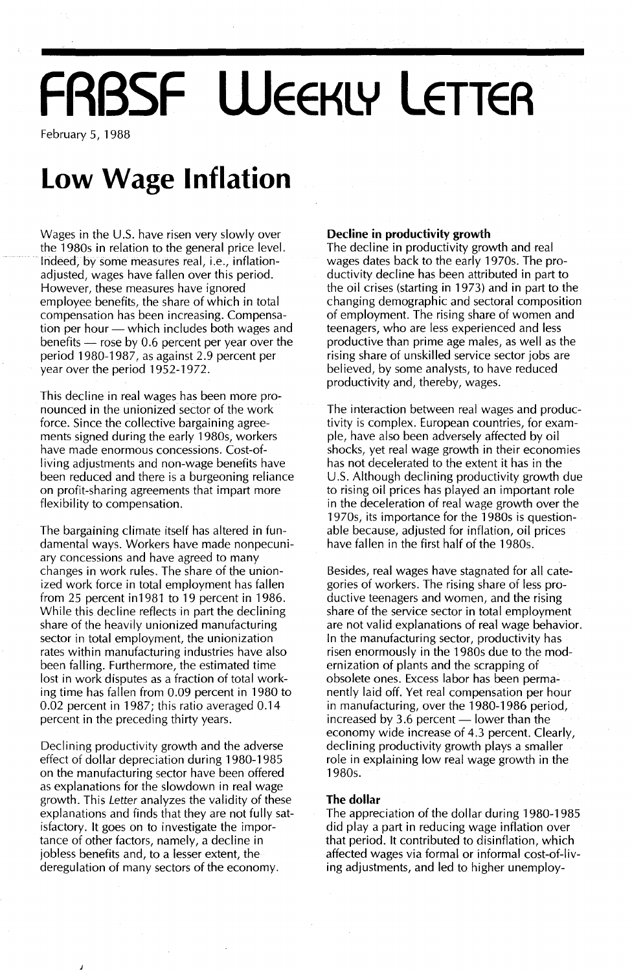# **FRBSF WEEKLY LETTER**

February 5, 1988

### **Low Wage Inflation**

Wages in the U.S. have risen very slowly over the 1980s in relation to the general price level. Indeed, by some measures real, i.e., inflationadjusted, wages have fallen over this period. However, these measures have ignored employee benefits, the share of which in total compensation has been increasing. Compensation per hour - which includes both wages and benefits  $-$  rose by 0.6 percent per year over the period 1980-1987, as against 2.9 percent per year over the period 1952-1972.

This decline in real wages has been more pronounced in the unionized sector of the work force. Since the collective bargaining agreements signed during the early 1980s, workers have made enormous concessions. Cost-ofliving adjustments and non-wage benefits have been reduced and there is a burgeoning reliance on profit-sharing agreements that impart more flexibility to compensation.

The bargaining climate itself has altered in fundamental ways. Workers have made nonpecuniary concessions and have agreed to many changes in work rules. The share of the unionized work force in total employment has fallen from 25 percent in1981 to 19 percent in 1986. While this decline reflects in part the declining share of the heavily unionized manufacturing sector in total employment, the unionization rates within manufacturing industries have also been falling. Furthermore, the estimated time lost in work disputes as a fraction of total working time has fallen from 0.09 percent in 1980 to 0.02 percent in 1987; this ratio averaged 0.14 percent in the preceding thirty years.

Declining productivity growth and the adverse effect of dollar depreciation during 1980-1985 on the manufacturing sector have been offered as explanations for the slowdown in real wage growth. This Letter analyzes the validity of these explanations and finds that they are not fully satisfactory. It goes on to investigate the importance of other factors, namely, a decline in jobless benefits and, to a lesser extent, the deregulation of many sectors of the economy.

#### **Decline in productivity growth**

The decline in productivity growth and real wages dates back to the early 1970s. The productivity decline has been attributed in part to the oil crises (starting in 1973) and in part to the changing demographic and sectoral composition of employment. The rising share of women and teenagers, who are less experienced and less productive than prime age males, as well as the rising share of unskilled service sector jobs are believed, by some analysts, to have reduced productivity and, thereby, wages.

The interaction between real wages and productivity is complex. European countries, for example, have also been adversely affected by oil shocks, yet real wage growth in their economies has not decelerated to the extent it has in the U.s. Although declining productivity growth due to rising oil prices has played an important role in the deceleration of real wage growth over the 1970s, its importance for the 1980s is questionable because, adjusted for inflation, oil prices have fallen in the first half of the 1980s.

Besides, real wages have stagnated for all categories of workers. The rising share of less productive teenagers and women, and the rising share of the service sector in total employment are not valid explanations of real wage behavior. In the manufacturing sector, productivity has risen enormously in the 1980s due to the modernization of plants and the scrapping of obsolete ones. Excess labor has been permanently laid off. Yet real compensation per hour in manufacturing, over the 1980-1986 period, increased by 3.6 percent  $-$  lower than the economy wide increase of 4.3 percent. Clearly, declining productivity growth plays a smaller role in explaining low real wage growth in the 1980s.

#### **The dollar**

The appreciation of the dollar during 1980-1985 did play a part in reducing wage inflation over that period. It contributed to disinflation, which affected wages via formal or informal cost-of-living adjustments, and led to higher unemploy-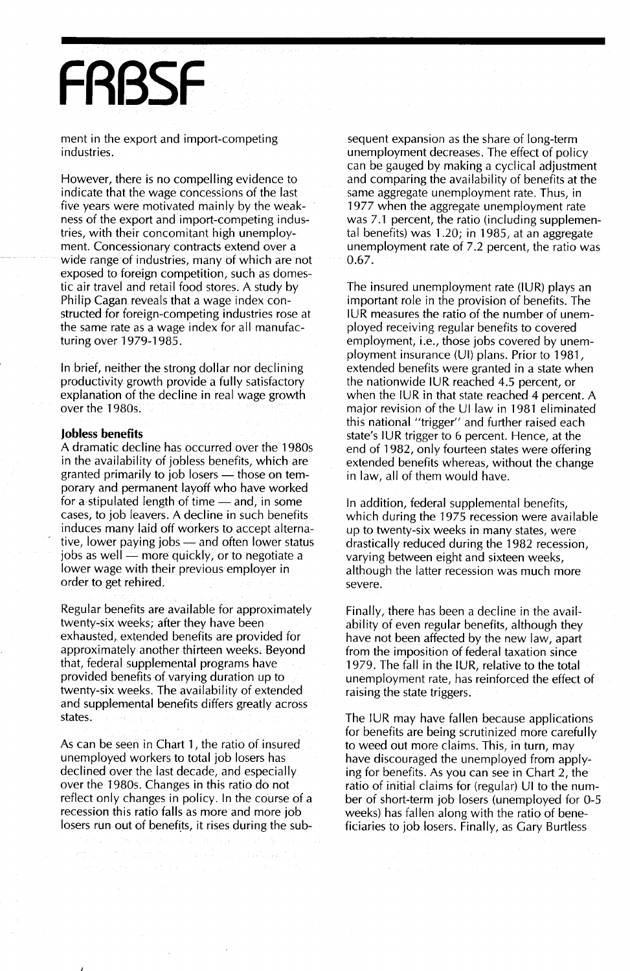## **FRBSF**

ment in the export and import-competing industries.

However, there is no compelling evidence to indicate that the wage concessions of the last five years were motivated mainly by the weakness of the export and import-competing industries, with their concomitant high unemployment. Concessionary contracts extend over a wide range of industries, many of which are not exposed to foreign competition, such as domestic air travel and retail food stores. A study by Philip Cagan reveals that a wage index constructed for foreign-competing industries rose at the same rate as a wage index for all manufacturing over 1979-1985.

In brief, neither the strong dollar nor declining productivity growth provide a fully satisfactory explanation of the decline in real wage growth over the 1980s.

#### **Jobless benefits**

A dramatic decline has occurred over the 1980s in the availability of jobless benefits, which are granted primarily to job losers  $-$  those on temporary and permanent layoff who have worked for a stipulated length of time  $-$  and, in some cases, to job leavers. A decline in such benefits induces many laid off workers to accept alternative, lower paying jobs — and often lower status jobs as well - more quickly, or to negotiate a lower wage with their previous employer in order to get rehired.

Regular benefits are available for approximately twenty-six weeks; after they have been exhausted, extended benefits are provided for approximately another thirteen weeks. Beyond that, federal supplemental programs have provided benefits of varying duration up to twenty-six weeks. The availability of extended and supplemental benefits differs greatly across states.

As can be seen in Chart 1, the ratio of insured unemployed workers to total job losers has declined over the last decade, and especially over the 1980s. Changes in this ratio do not reflect only changes in policy. In the course of a recession this ratio falls as more and more job losers run out of benefits, it rises during the subsequent expansion as the share of long-term unemployment decreases. The effect of policy can be gauged by making a cyclical adjustment and comparing the availability of benefits at the same aggregate unemployment rate. Thus, in 1977 when the aggregate unemployment rate was 7.1 percent, the ratio (including supplemental benefits) was 1.20; in 1985, at an aggregate unemployment rate of 7.2 percent, the ratio was 0.67.

The insured unemployment rate (lUR) plays an important role in the provision of benefits. The IUR measures the ratio of the number of unemployed receiving regular benefits to covered employment, i.e., those jobs covered by unemployment insurance (UI) plans. Prior to 1981, extended benefits were granted in a state when the nationwide IUR reached 4.5 percent, or when the IUR in that state reached 4 percent. A major revision of the UI law in 1981 eliminated this national "trigger" and further raised each state's IUR trigger to 6 percent. Hence, at the end of 1982, only fourteen states were offering extended benefits whereas, without the change in law, all of them would have.

In addition, federal supplemental benefits, which during the 1975 recession were available up to twenty-six weeks in many states, were drastically reduced during the 1982 recession, varying between eight and sixteen weeks, although the latter recession was much more severe.

Finally, there has been a decline in the availability of even regular benefits, although they have not been affected by the new law, apart from the imposition of federal taxation since 1979. The fall in the IUR, relative to the total unemployment rate, has reinforced the effect of raising the state triggers.

The IUR may have fallen because applications for benefits are being scrutinized more carefully to weed out more claims. This, in turn, may have discouraged the unemployed from applying for benefits. As you can see in Chart 2, the ratio of initial claims for (regular) UI to the number of short-term job losers (unemployed for 0-5 weeks) has fallen along with the ratio of beneficiaries to job losers. Finally, as Gary Burtless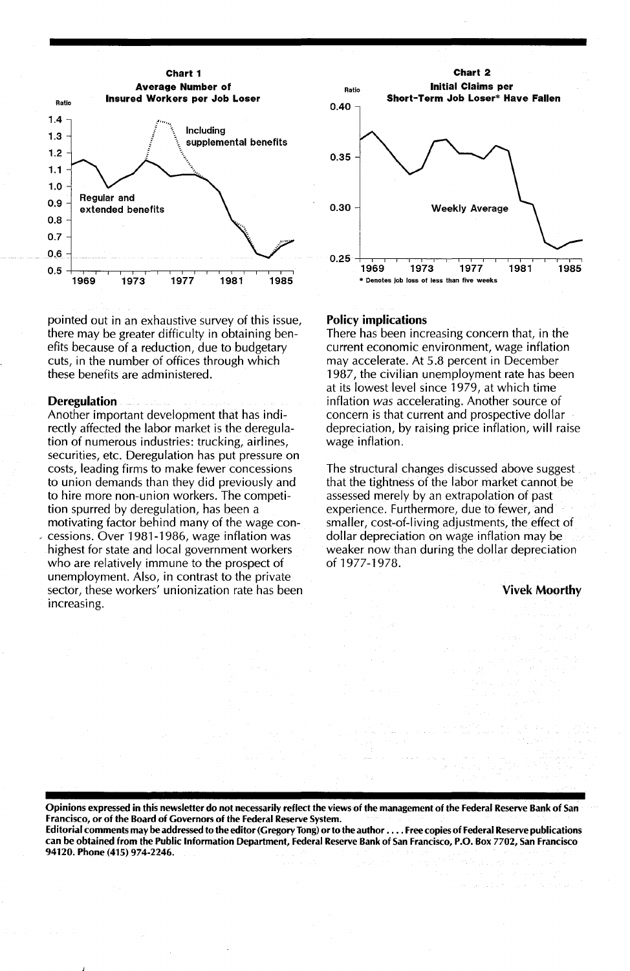

pointed out in an exhaustive survey of this issue, there may be greater difficulty in obtaining benefits because of a reduction, due to budgetary cuts, in the number of offices through which these benefits are administered.

#### Deregulation

Another important development that has indirectly affected the labor market is the deregulation of numerous industries: trucking, airlines, securities, etc. Deregulation has put pressure on costs, leading firms to make fewer concessions to union demands than they did previously and to hire more non-union workers. The competition spurred by deregulation, has been a motivating factor behind many of the wage con cessions. Over 1981-1986, wage inflation was highest for state and local government workers who are relatively immune to the prospect of unemployment. Also, in contrast to the private sector, these workers' unionization rate has been increasing.



#### Policy implications

There has been increasing concern that, in the current economic environment, wage inflation may accelerate. At 5.8 percent in December 1987, the civilian unemployment rate has been at its lowest level since 1979, at which time inflation *was* accelerating. Another source of concern is that current and prospective dollar depreciation, by raising price inflation, will raise wage inflation.

The structural changes discussed above suggest that the tightness of the labor market cannot be assessed merely by an extrapolation of past experience. Furthermore, due to fewer, and smaller, cost-of-living adjustments, the effect of dollar depreciation on wage inflation may be weaker now than during the dollar depreciation of 1977-1978.

Vivek Moorthy

Opinions expressed in this newsletler do not necessarily reflect the views of the management of the Federal Reserve Bank of San Francisco, or of the Board of Governors of the Federal Reserve System.

Editorial comments may be addressed to the editor (Gregory Tong) or to the author . . . . Free copies of Federal Reserve publications can be obtained from the Public Information Department, Federal Reserve Bank of San Francisco, P.O. Box 7702, San Francisco 94120. Phone (415) 974-2246.